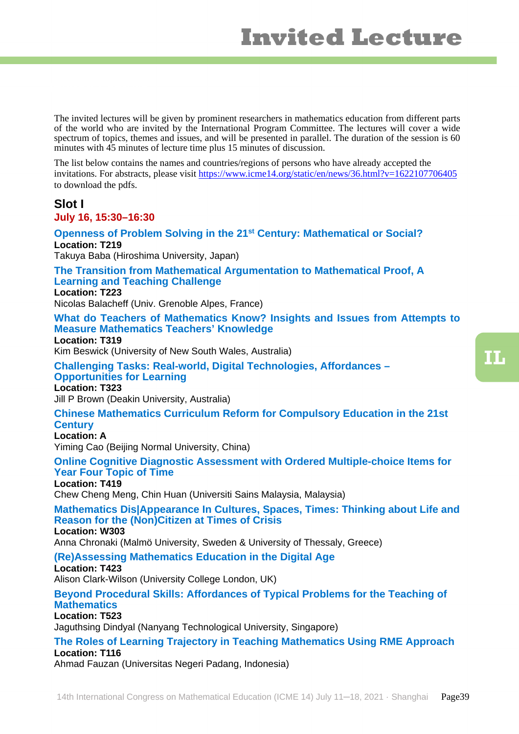The invited lectures will be given by prominent researchers in mathematics education from different parts of the world who are invited by the International Program Committee. The lectures will cover a wide spectrum of topics, themes and issues, and will be presented in parallel. The duration of the session is 60 minutes with  $\overline{45}$  minutes of lecture time plus 15 minutes of discussion.

The list below contains the names and countries/regions of persons who have already accepted the invitations. For abstracts, please visit <https://www.icme14.org/static/en/news/36.html?v=1622107706405> to download the pdfs.

# **Slot I**

**July 16, 15:30–16:30**

**Openness of Problem Solving in the 21st Century: Mathematical or Social? Location: T219**

Takuya Baba (Hiroshima University, Japan)

**The Transition from Mathematical Argumentation to Mathematical Proof, A Learning and Teaching Challenge**

**Location: T223**

Nicolas Balacheff (Univ. Grenoble Alpes, France)

**What do Teachers of Mathematics Know? Insights and Issues from Attempts to Measure Mathematics Teachers' Knowledge** 

**Location: T319** Kim Beswick (University of New South Wales, Australia)

**Challenging Tasks: Real-world, Digital Technologies, Affordances – Opportunities for Learning**

**Location: T323** Jill P Brown (Deakin University, Australia)

**Chinese Mathematics Curriculum Reform for Compulsory Education in the 21st Century Location: A**

Yiming Cao (Beijing Normal University, China)

**Online Cognitive Diagnostic Assessment with Ordered Multiple-choice Items for Year Four Topic of Time**

**Location: T419**

Chew Cheng Meng, Chin Huan (Universiti Sains Malaysia, Malaysia)

**Mathematics Dis|Appearance In Cultures, Spaces, Times: Thinking about Life and Reason for the (Non)Citizen at Times of Crisis Location: W303**

Anna Chronaki (Malmö University, Sweden & University of Thessaly, Greece)

**(Re)Assessing Mathematics Education in the Digital Age** 

**Location: T423** Alison Clark-Wilson (University College London, UK)

**Beyond Procedural Skills: Affordances of Typical Problems for the Teaching of Mathematics**

## **Location: T523**

Jaguthsing Dindyal (Nanyang Technological University, Singapore)

**The Roles of Learning Trajectory in Teaching Mathematics Using RME Approach Location: T116**

Ahmad Fauzan (Universitas Negeri Padang, Indonesia)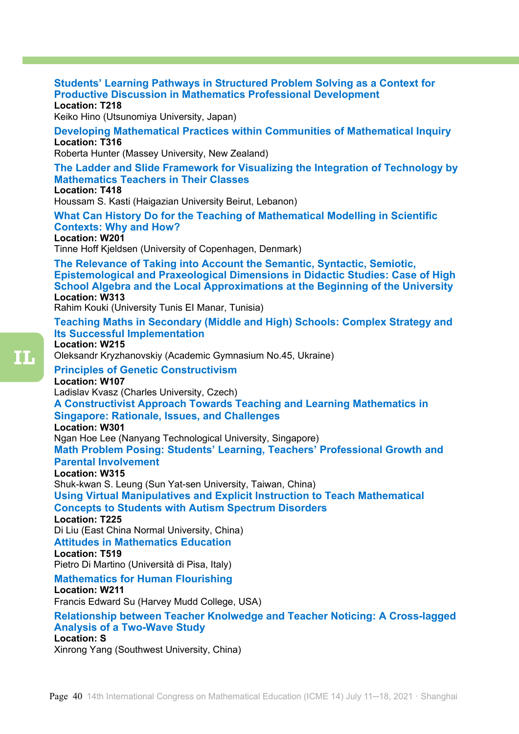#### **Students' Learning Pathways in Structured Problem Solving as a Context for Productive Discussion in Mathematics Professional Development Location: T218**

Keiko Hino (Utsunomiya University, Japan)

**Developing Mathematical Practices within Communities of Mathematical Inquiry Location: T316** 

Roberta Hunter (Massey University, New Zealand)

**The Ladder and Slide Framework for Visualizing the Integration of Technology by Mathematics Teachers in Their Classes Location: T418** 

Houssam S. Kasti (Haigazian University Beirut, Lebanon)

**What Can History Do for the Teaching of Mathematical Modelling in Scientific Contexts: Why and How?**

**Location: W201** 

Tinne Hoff Kjeldsen (University of Copenhagen, Denmark)

**The Relevance of Taking into Account the Semantic, Syntactic, Semiotic, Epistemological and Praxeological Dimensions in Didactic Studies: Case of High School Algebra and the Local Approximations at the Beginning of the University Location: W313** 

Rahim Kouki (University Tunis EI Manar, Tunisia)

## **Teaching Maths in Secondary (Middle and High) Schools: Complex Strategy and Its Successful Implementation**

#### **Location: W215**

Oleksandr Kryzhanovskiy (Academic Gymnasium No.45, Ukraine)

**Principles of Genetic Constructivism** 

#### **Location: W107**

Ladislav Kvasz (Charles University, Czech)

**A Constructivist Approach Towards Teaching and Learning Mathematics in Singapore: Rationale, Issues, and Challenges**

**Location: W301**

Ngan Hoe Lee (Nanyang Technological University, Singapore)

**Math Problem Posing: Students' Learning, Teachers' Professional Growth and Parental Involvement**

#### **Location: W315**

Shuk-kwan S. Leung (Sun Yat-sen University, Taiwan, China)

**Using Virtual Manipulatives and Explicit Instruction to Teach Mathematical Concepts to Students with Autism Spectrum Disorders** 

#### **Location: T225**

Di Liu (East China Normal University, China)

#### **Attitudes in Mathematics Education**

#### **Location: T519**

Pietro Di Martino (Università di Pisa, Italy)

# **Mathematics for Human Flourishing**

**Location: W211** 

Francis Edward Su (Harvey Mudd College, USA)

#### **Relationship between Teacher Knolwedge and Teacher Noticing: A Cross-lagged Analysis of a Two-Wave Study Location: S**

Xinrong Yang (Southwest University, China)

m.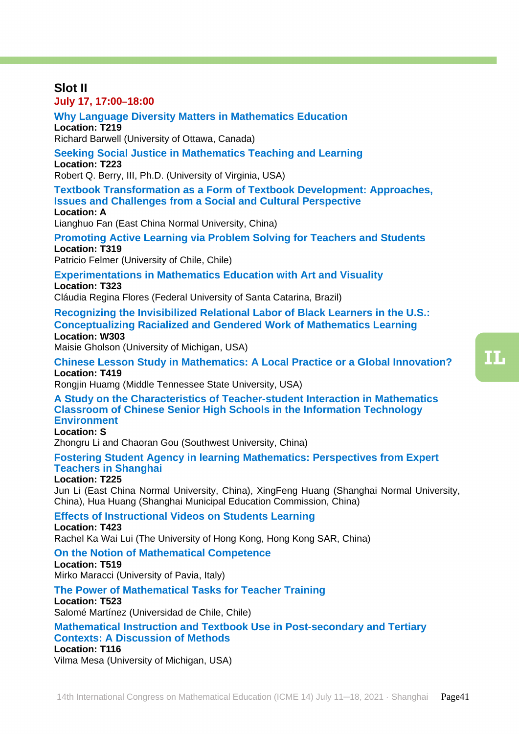TT.

#### **Slot II July 17, 17:00–18:00**

**Why Language Diversity Matters in Mathematics Education Location: T219**

Richard Barwell (University of Ottawa, Canada)

**Seeking Social Justice in Mathematics Teaching and Learning Location: T223**

Robert Q. Berry, III, Ph.D. (University of Virginia, USA)

**Textbook Transformation as a Form of Textbook Development: Approaches, Issues and Challenges from a Social and Cultural Perspective Location: A**

Lianghuo Fan (East China Normal University, China)

**Promoting Active Learning via Problem Solving for Teachers and Students Location: T319**

Patricio Felmer (University of Chile, Chile)

**Experimentations in Mathematics Education with Art and Visuality Location: T323**

Cláudia Regina Flores (Federal University of Santa Catarina, Brazil)

**Recognizing the Invisibilized Relational Labor of Black Learners in the U.S.: Conceptualizing Racialized and Gendered Work of Mathematics Learning Location: W303**

Maisie Gholson (University of Michigan, USA)

**Chinese Lesson Study in Mathematics: A Local Practice or a Global Innovation? Location: T419**

Rongjin Huamg (Middle Tennessee State University, USA)

**A Study on the Characteristics of Teacher-student Interaction in Mathematics Classroom of Chinese Senior High Schools in the Information Technology Environment** 

## **Location: S**

Zhongru Li and Chaoran Gou (Southwest University, China)

#### **Fostering Student Agency in learning Mathematics: Perspectives from Expert Teachers in Shanghai**

#### **Location: T225**

Jun Li (East China Normal University, China), XingFeng Huang (Shanghai Normal University, China), Hua Huang (Shanghai Municipal Education Commission, China)

#### **Effects of Instructional Videos on Students Learning**

**Location: T423**

Rachel Ka Wai Lui (The University of Hong Kong, Hong Kong SAR, China)

#### **On the Notion of Mathematical Competence**

**Location: T519**

Mirko Maracci (University of Pavia, Italy)

#### **The Power of Mathematical Tasks for Teacher Training**

**Location: T523**

Salomé Martínez (Universidad de Chile, Chile)

**Mathematical Instruction and Textbook Use in Post-secondary and Tertiary Contexts: A Discussion of Methods**

#### **Location: T116**

Vilma Mesa (University of Michigan, USA)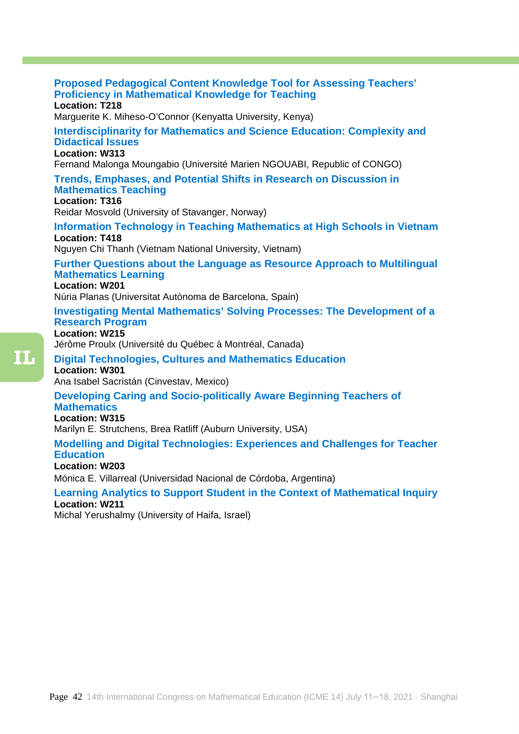## **Proposed Pedagogical Content Knowledge Tool for Assessing Teachers' Proficiency in Mathematical Knowledge for Teaching Location: T218** Marguerite K. Miheso-O'Connor (Kenyatta University, Kenya) **Interdisciplinarity for Mathematics and Science Education: Complexity and Didactical Issues Location: W313** Fernand Malonga Moungabio (Université Marien NGOUABI, Republic of CONGO) **Trends, Emphases, and Potential Shifts in Research on Discussion in Mathematics Teaching Location: T316** Reidar Mosvold (University of Stavanger, Norway) **Information Technology in Teaching Mathematics at High Schools in Vietnam Location: T418** Nguyen Chi Thanh (Vietnam National University, Vietnam) **Further Questions about the Language as Resource Approach to Multilingual Mathematics Learning Location: W201** Núria Planas (Universitat Autònoma de Barcelona, Spain) **Investigating Mental Mathematics' Solving Processes: The Development of a Research Program Location: W215** Jérôme Proulx (Université du Québec à Montréal, Canada) **Digital Technologies, Cultures and Mathematics Education Location: W301** Ana Isabel Sacristán (Cinvestav, Mexico) **Developing Caring and Socio-politically Aware Beginning Teachers of Mathematics Location: W315** Marilyn E. Strutchens, Brea Ratliff (Auburn University, USA) **Modelling and Digital Technologies: Experiences and Challenges for Teacher Education Location: W203**

Mónica E. Villarreal (Universidad Nacional de Córdoba, Argentina)

**Learning Analytics to Support Student in the Context of Mathematical Inquiry Location: W211**

Michal Yerushalmy (University of Haifa, Israel)

m.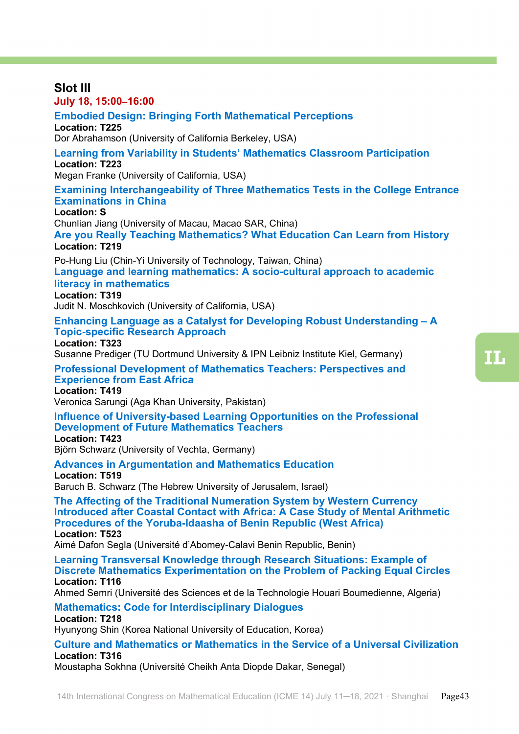## 14th International Congress on Mathematical Education (ICME 14) July 11-18, 2021 · Shanghai Page43 **Slot III July 18, 15:00–16:00 Embodied Design: Bringing Forth Mathematical Perceptions Location: T225**  Dor Abrahamson (University of California Berkeley, USA) **Learning from Variability in Students' Mathematics Classroom Participation Location: T223**  Megan Franke (University of California, USA) **Examining Interchangeability of Three Mathematics Tests in the College Entrance Examinations in China Location: S**  Chunlian Jiang (University of Macau, Macao SAR, China) **Are you Really Teaching Mathematics? What Education Can Learn from History Location: T219** Po-Hung Liu (Chin-Yi University of Technology, Taiwan, China) **Language and learning mathematics: A socio-cultural approach to academic literacy in mathematics Location: T319**  Judit N. Moschkovich (University of California, USA) **Enhancing Language as a Catalyst for Developing Robust Understanding – A Topic-specific Research Approach Location: T323**  Susanne Prediger (TU Dortmund University & IPN Leibniz Institute Kiel, Germany) **Professional Development of Mathematics Teachers: Perspectives and Experience from East Africa Location: T419**  Veronica Sarungi (Aga Khan University, Pakistan) **Influence of University-based Learning Opportunities on the Professional Development of Future Mathematics Teachers Location: T423**  Björn Schwarz (University of Vechta, Germany) **Advances in Argumentation and Mathematics Education Location: T519**  Baruch B. Schwarz (The Hebrew University of Jerusalem, Israel) **The Affecting of the Traditional Numeration System by Western Currency Introduced after Coastal Contact with Africa: A Case Study of Mental Arithmetic Procedures of the Yoruba-Idaasha of Benin Republic (West Africa) Location: T523**  Aimé Dafon Segla (Université d'Abomey-Calavi Benin Republic, Benin) **Learning Transversal Knowledge through Research Situations: Example of Discrete Mathematics Experimentation on the Problem of Packing Equal Circles Location: T116**  Ahmed Semri (Université des Sciences et de la Technologie Houari Boumedienne, Algeria) **Mathematics: Code for Interdisciplinary Dialogues Location: T218**  Hyunyong Shin (Korea National University of Education, Korea) **Culture and Mathematics or Mathematics in the Service of a Universal Civilization Location: T316**  Moustapha Sokhna (Université Cheikh Anta Diopde Dakar, Senegal)